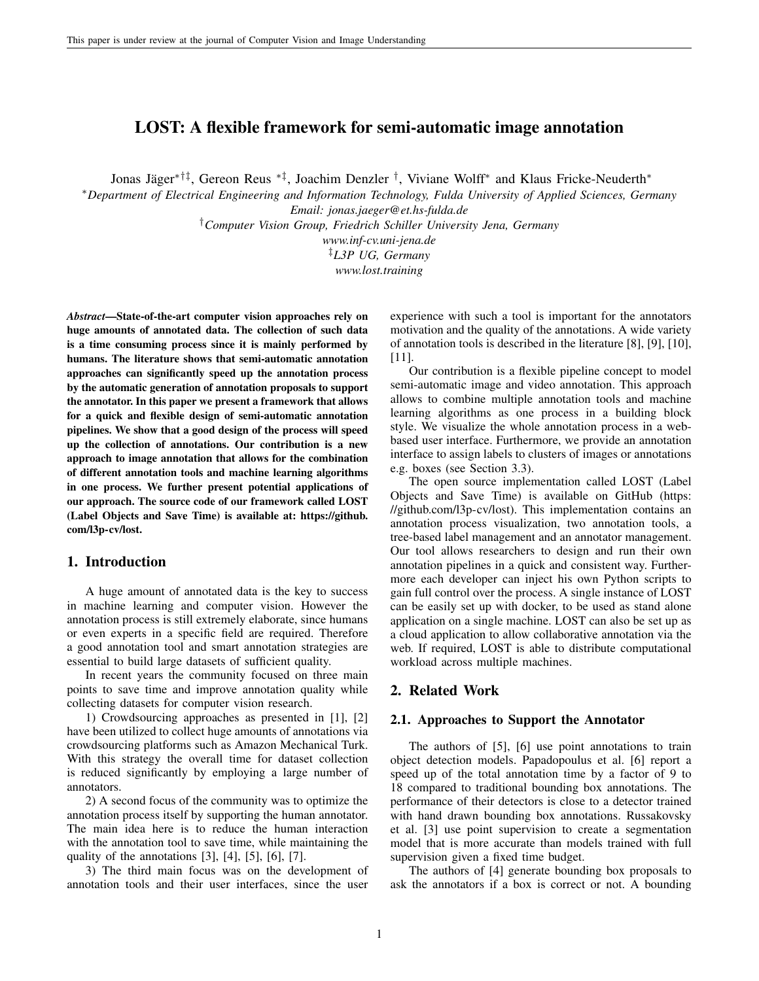# LOST: A flexible framework for semi-automatic image annotation

Jonas Jäger<sup>\*†‡</sup>, Gereon Reus <sup>\*‡</sup>, Joachim Denzler <sup>†</sup>, Viviane Wolff<sup>\*</sup> and Klaus Fricke-Neuderth<sup>\*</sup>

<sup>∗</sup>*Department of Electrical Engineering and Information Technology, Fulda University of Applied Sciences, Germany Email: jonas.jaeger@et.hs-fulda.de*

†*Computer Vision Group, Friedrich Schiller University Jena, Germany*

*www.inf-cv.uni-jena.de*

‡*L3P UG, Germany*

*www.lost.training*

*Abstract*—State-of-the-art computer vision approaches rely on huge amounts of annotated data. The collection of such data is a time consuming process since it is mainly performed by humans. The literature shows that semi-automatic annotation approaches can significantly speed up the annotation process by the automatic generation of annotation proposals to support the annotator. In this paper we present a framework that allows for a quick and flexible design of semi-automatic annotation pipelines. We show that a good design of the process will speed up the collection of annotations. Our contribution is a new approach to image annotation that allows for the combination of different annotation tools and machine learning algorithms in one process. We further present potential applications of our approach. The source code of our framework called LOST (Label Objects and Save Time) is available at: https://github. com/l3p-cv/lost.

### 1. Introduction

A huge amount of annotated data is the key to success in machine learning and computer vision. However the annotation process is still extremely elaborate, since humans or even experts in a specific field are required. Therefore a good annotation tool and smart annotation strategies are essential to build large datasets of sufficient quality.

In recent years the community focused on three main points to save time and improve annotation quality while collecting datasets for computer vision research.

1) Crowdsourcing approaches as presented in [1], [2] have been utilized to collect huge amounts of annotations via crowdsourcing platforms such as Amazon Mechanical Turk. With this strategy the overall time for dataset collection is reduced significantly by employing a large number of annotators.

2) A second focus of the community was to optimize the annotation process itself by supporting the human annotator. The main idea here is to reduce the human interaction with the annotation tool to save time, while maintaining the quality of the annotations  $[3]$ ,  $[4]$ ,  $[5]$ ,  $[6]$ ,  $[7]$ .

3) The third main focus was on the development of annotation tools and their user interfaces, since the user experience with such a tool is important for the annotators motivation and the quality of the annotations. A wide variety of annotation tools is described in the literature [8], [9], [10], [11].

Our contribution is a flexible pipeline concept to model semi-automatic image and video annotation. This approach allows to combine multiple annotation tools and machine learning algorithms as one process in a building block style. We visualize the whole annotation process in a webbased user interface. Furthermore, we provide an annotation interface to assign labels to clusters of images or annotations e.g. boxes (see Section 3.3).

The open source implementation called LOST (Label Objects and Save Time) is available on GitHub (https: //github.com/l3p-cv/lost). This implementation contains an annotation process visualization, two annotation tools, a tree-based label management and an annotator management. Our tool allows researchers to design and run their own annotation pipelines in a quick and consistent way. Furthermore each developer can inject his own Python scripts to gain full control over the process. A single instance of LOST can be easily set up with docker, to be used as stand alone application on a single machine. LOST can also be set up as a cloud application to allow collaborative annotation via the web. If required, LOST is able to distribute computational workload across multiple machines.

## 2. Related Work

#### 2.1. Approaches to Support the Annotator

The authors of [5], [6] use point annotations to train object detection models. Papadopoulus et al. [6] report a speed up of the total annotation time by a factor of 9 to 18 compared to traditional bounding box annotations. The performance of their detectors is close to a detector trained with hand drawn bounding box annotations. Russakovsky et al. [3] use point supervision to create a segmentation model that is more accurate than models trained with full supervision given a fixed time budget.

The authors of [4] generate bounding box proposals to ask the annotators if a box is correct or not. A bounding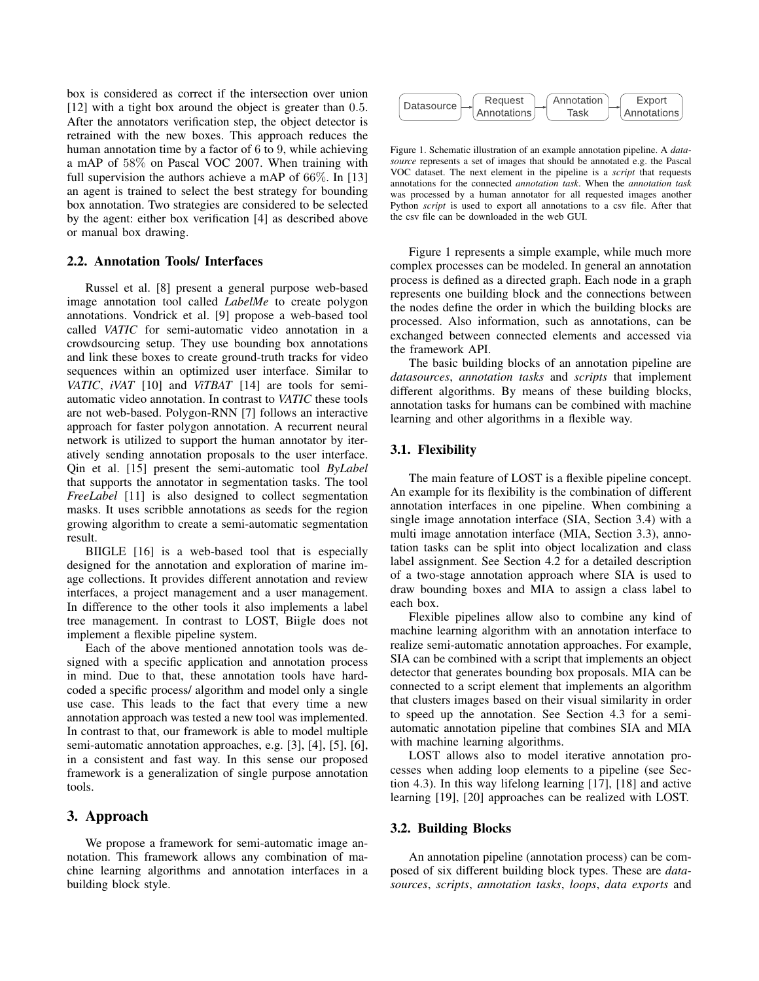box is considered as correct if the intersection over union [12] with a tight box around the object is greater than 0.5. After the annotators verification step, the object detector is retrained with the new boxes. This approach reduces the human annotation time by a factor of 6 to 9, while achieving a mAP of 58% on Pascal VOC 2007. When training with full supervision the authors achieve a mAP of 66%. In [13] an agent is trained to select the best strategy for bounding box annotation. Two strategies are considered to be selected by the agent: either box verification [4] as described above or manual box drawing.

#### 2.2. Annotation Tools/ Interfaces

Russel et al. [8] present a general purpose web-based image annotation tool called *LabelMe* to create polygon annotations. Vondrick et al. [9] propose a web-based tool called *VATIC* for semi-automatic video annotation in a crowdsourcing setup. They use bounding box annotations and link these boxes to create ground-truth tracks for video sequences within an optimized user interface. Similar to *VATIC*, *iVAT* [10] and *ViTBAT* [14] are tools for semiautomatic video annotation. In contrast to *VATIC* these tools are not web-based. Polygon-RNN [7] follows an interactive approach for faster polygon annotation. A recurrent neural network is utilized to support the human annotator by iteratively sending annotation proposals to the user interface. Qin et al. [15] present the semi-automatic tool *ByLabel* that supports the annotator in segmentation tasks. The tool *FreeLabel* [11] is also designed to collect segmentation masks. It uses scribble annotations as seeds for the region growing algorithm to create a semi-automatic segmentation result. [12] with a digit be a tensor of the style of the method and collect is precise. The style is the style of the style of the style of the style of the style of the style of the style of the style of the style of the style

BIIGLE [16] is a web-based tool that is especially designed for the annotation and exploration of marine image collections. It provides different annotation and review interfaces, a project management and a user management. In difference to the other tools it also implements a label tree management. In contrast to LOST, Biigle does not implement a flexible pipeline system.

Each of the above mentioned annotation tools was designed with a specific application and annotation process in mind. Due to that, these annotation tools have hardcoded a specific process/ algorithm and model only a single use case. This leads to the fact that every time a new annotation approach was tested a new tool was implemented. In contrast to that, our framework is able to model multiple semi-automatic annotation approaches, e.g. [3], [4], [5], [6], in a consistent and fast way. In this sense our proposed framework is a generalization of single purpose annotation tools.

# 3. Approach

We propose a framework for semi-automatic image annotation. This framework allows any combination of machine learning algorithms and annotation interfaces in a



Figure 1. Schematic illustration of an example annotation pipeline. A *datasource* represents a set of images that should be annotated e.g. the Pascal VOC dataset. The next element in the pipeline is a *script* that requests annotations for the connected *annotation task*. When the *annotation task* was processed by a human annotator for all requested images another Python *script* is used to export all annotations to a csv file. After that the csv file can be downloaded in the web GUI.

Figure 1 represents a simple example, while much more complex processes can be modeled. In general an annotation process is defined as a directed graph. Each node in a graph represents one building block and the connections between the nodes define the order in which the building blocks are processed. Also information, such as annotations, can be exchanged between connected elements and accessed via the framework API.

The basic building blocks of an annotation pipeline are *datasources*, *annotation tasks* and *scripts* that implement different algorithms. By means of these building blocks, annotation tasks for humans can be combined with machine learning and other algorithms in a flexible way.

## 3.1. Flexibility

The main feature of LOST is a flexible pipeline concept. An example for its flexibility is the combination of different annotation interfaces in one pipeline. When combining a single image annotation interface (SIA, Section 3.4) with a multi image annotation interface (MIA, Section 3.3), annotation tasks can be split into object localization and class label assignment. See Section 4.2 for a detailed description of a two-stage annotation approach where SIA is used to draw bounding boxes and MIA to assign a class label to each box.

Flexible pipelines allow also to combine any kind of machine learning algorithm with an annotation interface to realize semi-automatic annotation approaches. For example, SIA can be combined with a script that implements an object detector that generates bounding box proposals. MIA can be connected to a script element that implements an algorithm that clusters images based on their visual similarity in order to speed up the annotation. See Section 4.3 for a semiautomatic annotation pipeline that combines SIA and MIA with machine learning algorithms.

LOST allows also to model iterative annotation processes when adding loop elements to a pipeline (see Section 4.3). In this way lifelong learning [17], [18] and active learning [19], [20] approaches can be realized with LOST.

## 3.2. Building Blocks

An annotation pipeline (annotation process) can be composed of six different building block types. These are *datasources*, *scripts*, *annotation tasks*, *loops*, *data exports* and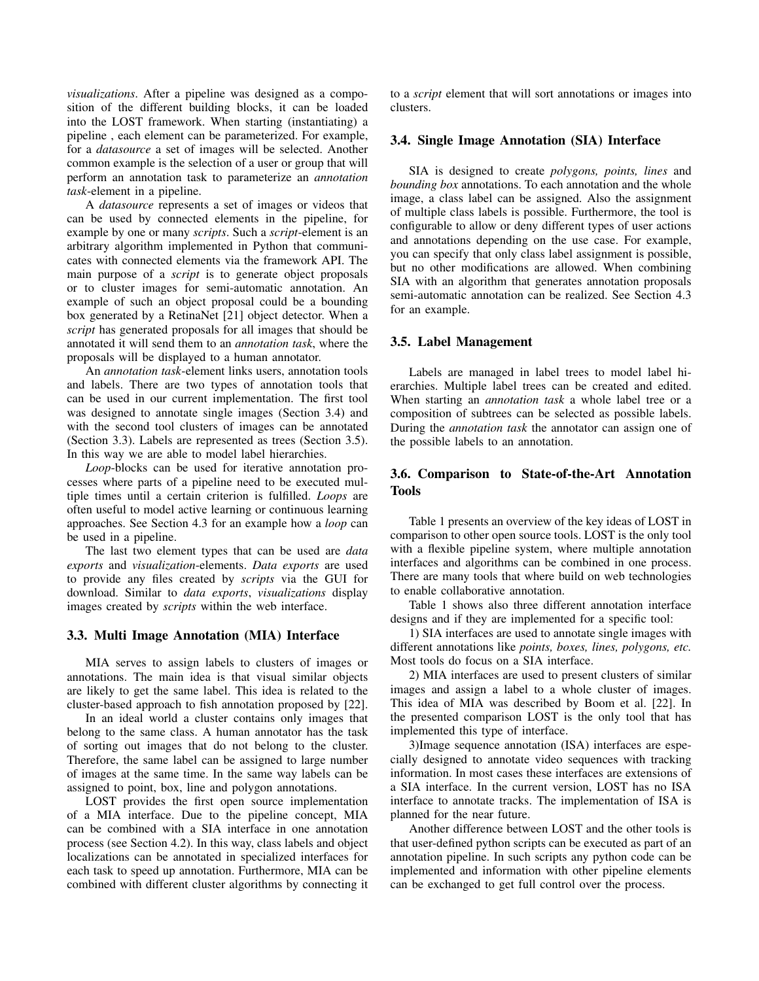*visualizations*. After a pipeline was designed as a composition of the different building blocks, it can be loaded into the LOST framework. When starting (instantiating) a pipeline , each element can be parameterized. For example, for a *datasource* a set of images will be selected. Another common example is the selection of a user or group that will perform an annotation task to parameterize an *annotation task*-element in a pipeline.

A *datasource* represents a set of images or videos that can be used by connected elements in the pipeline, for example by one or many *scripts*. Such a *script*-element is an arbitrary algorithm implemented in Python that communicates with connected elements via the framework API. The main purpose of a *script* is to generate object proposals or to cluster images for semi-automatic annotation. An example of such an object proposal could be a bounding box generated by a RetinaNet [21] object detector. When a *script* has generated proposals for all images that should be annotated it will send them to an *annotation task*, where the proposals will be displayed to a human annotator.

An *annotation task*-element links users, annotation tools and labels. There are two types of annotation tools that can be used in our current implementation. The first tool was designed to annotate single images (Section 3.4) and with the second tool clusters of images can be annotated (Section 3.3). Labels are represented as trees (Section 3.5). In this way we are able to model label hierarchies.

*Loop*-blocks can be used for iterative annotation processes where parts of a pipeline need to be executed multiple times until a certain criterion is fulfilled. *Loops* are often useful to model active learning or continuous learning approaches. See Section 4.3 for an example how a *loop* can be used in a pipeline.

The last two element types that can be used are *data exports* and *visualization*-elements. *Data exports* are used to provide any files created by *scripts* via the GUI for download. Similar to *data exports*, *visualizations* display images created by *scripts* within the web interface.

#### 3.3. Multi Image Annotation (MIA) Interface

MIA serves to assign labels to clusters of images or annotations. The main idea is that visual similar objects are likely to get the same label. This idea is related to the cluster-based approach to fish annotation proposed by [22].

In an ideal world a cluster contains only images that belong to the same class. A human annotator has the task of sorting out images that do not belong to the cluster. Therefore, the same label can be assigned to large number of images at the same time. In the same way labels can be assigned to point, box, line and polygon annotations.

LOST provides the first open source implementation of a MIA interface. Due to the pipeline concept, MIA can be combined with a SIA interface in one annotation process (see Section 4.2). In this way, class labels and object localizations can be annotated in specialized interfaces for each task to speed up annotation. Furthermore, MIA can be combined with different cluster algorithms by connecting it to a *script* element that will sort annotations or images into clusters.

### 3.4. Single Image Annotation (SIA) Interface

SIA is designed to create *polygons, points, lines* and *bounding box* annotations. To each annotation and the whole image, a class label can be assigned. Also the assignment of multiple class labels is possible. Furthermore, the tool is configurable to allow or deny different types of user actions and annotations depending on the use case. For example, you can specify that only class label assignment is possible, but no other modifications are allowed. When combining SIA with an algorithm that generates annotation proposals semi-automatic annotation can be realized. See Section 4.3 for an example.

#### 3.5. Label Management

Labels are managed in label trees to model label hierarchies. Multiple label trees can be created and edited. When starting an *annotation task* a whole label tree or a composition of subtrees can be selected as possible labels. During the *annotation task* the annotator can assign one of the possible labels to an annotation.

# 3.6. Comparison to State-of-the-Art Annotation Tools

Table 1 presents an overview of the key ideas of LOST in comparison to other open source tools. LOST is the only tool with a flexible pipeline system, where multiple annotation interfaces and algorithms can be combined in one process. There are many tools that where build on web technologies to enable collaborative annotation.

Table 1 shows also three different annotation interface designs and if they are implemented for a specific tool:

1) SIA interfaces are used to annotate single images with different annotations like *points, boxes, lines, polygons, etc.* Most tools do focus on a SIA interface.

2) MIA interfaces are used to present clusters of similar images and assign a label to a whole cluster of images. This idea of MIA was described by Boom et al. [22]. In the presented comparison LOST is the only tool that has implemented this type of interface.

3)Image sequence annotation (ISA) interfaces are especially designed to annotate video sequences with tracking information. In most cases these interfaces are extensions of a SIA interface. In the current version, LOST has no ISA interface to annotate tracks. The implementation of ISA is planned for the near future.

Another difference between LOST and the other tools is that user-defined python scripts can be executed as part of an annotation pipeline. In such scripts any python code can be implemented and information with other pipeline elements can be exchanged to get full control over the process.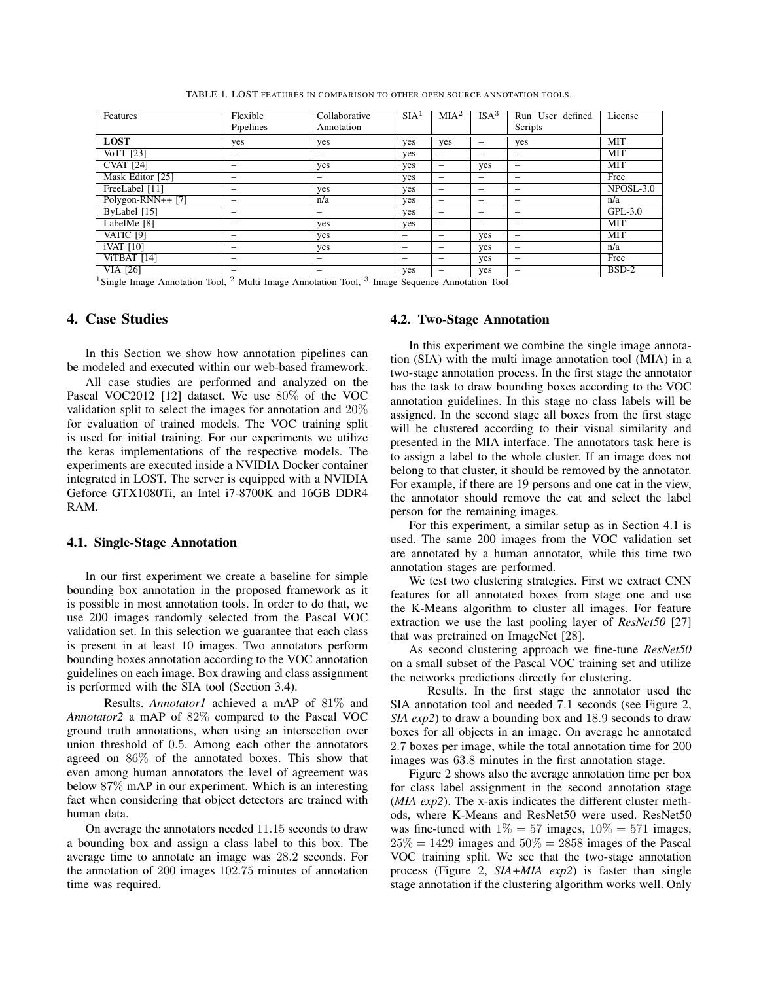TABLE 1. LOST FEATURES IN COMPARISON TO OTHER OPEN SOURCE ANNOTATION TOOLS.

| Features                | Flexible<br>Pipelines                | Collaborative<br>Annotation                          | SIA <sup>1</sup>         | MIA <sup>2</sup>         | ISA <sup>3</sup>         | Run User defined<br>Scripts | License     |
|-------------------------|--------------------------------------|------------------------------------------------------|--------------------------|--------------------------|--------------------------|-----------------------------|-------------|
|                         |                                      |                                                      |                          |                          |                          |                             |             |
| <b>LOST</b>             | yes                                  | yes                                                  | yes                      | yes                      | $\overline{\phantom{m}}$ | yes                         | MIT         |
| $\overline{V_0TT}$ [23] | -                                    | $\overline{\phantom{m}}$                             | yes                      | $\qquad \qquad$          | $\overline{\phantom{a}}$ |                             | <b>MIT</b>  |
| <b>CVAT</b> [24]        |                                      | yes                                                  | yes                      | $\overline{\phantom{0}}$ | yes                      |                             | <b>MIT</b>  |
| Mask Editor [25]        |                                      | $\overline{\phantom{m}}$                             | yes                      | $\qquad \qquad$          | $\overline{\phantom{a}}$ |                             | Free        |
| FreeLabel [11]          | $\overline{\phantom{0}}$             | yes                                                  | yes                      |                          | $\overline{\phantom{a}}$ |                             | $NPOSL-3.0$ |
| Polygon-RNN++ $[7]$     | $\overline{\phantom{0}}$             | n/a                                                  | yes                      | $\overline{\phantom{a}}$ |                          |                             | n/a         |
| ByLabel [15]            |                                      | $\overline{\phantom{m}}$                             | yes                      | -                        |                          |                             | $GPL-3.0$   |
| LabelMe [8]             |                                      | yes                                                  | yes                      |                          |                          | -                           | MIT         |
| VATIC [9]               |                                      | yes                                                  | $\overline{\phantom{a}}$ | -                        | yes                      |                             | <b>MIT</b>  |
| iVAT [10]               |                                      | yes                                                  | $\overline{\phantom{a}}$ | -                        | yes                      |                             | n/a         |
| ViTBAT [14]             | $\qquad \qquad$                      | $\overline{\phantom{m}}$                             | $\overline{\phantom{a}}$ | -                        | yes                      |                             | Free        |
| VIA [26]                | $\overline{\phantom{0}}$<br>$\alpha$ | $\overline{\phantom{m}}$<br>$\overline{\phantom{0}}$ | yes                      |                          | yes                      |                             | $BSD-2$     |

<sup>1</sup> Single Image Annotation Tool, <sup>2</sup> Multi Image Annotation Tool, <sup>3</sup> Image Sequence Annotation Tool

# 4. Case Studies

In this Section we show how annotation pipelines can be modeled and executed within our web-based framework.

All case studies are performed and analyzed on the Pascal VOC2012 [12] dataset. We use 80% of the VOC validation split to select the images for annotation and 20% for evaluation of trained models. The VOC training split is used for initial training. For our experiments we utilize the keras implementations of the respective models. The experiments are executed inside a NVIDIA Docker container integrated in LOST. The server is equipped with a NVIDIA Geforce GTX1080Ti, an Intel i7-8700K and 16GB DDR4 RAM.

#### 4.1. Single-Stage Annotation

In our first experiment we create a baseline for simple bounding box annotation in the proposed framework as it is possible in most annotation tools. In order to do that, we use 200 images randomly selected from the Pascal VOC validation set. In this selection we guarantee that each class is present in at least 10 images. Two annotators perform bounding boxes annotation according to the VOC annotation guidelines on each image. Box drawing and class assignment is performed with the SIA tool (Section 3.4).

Results. *Annotator1* achieved a mAP of 81% and *Annotator2* a mAP of 82% compared to the Pascal VOC ground truth annotations, when using an intersection over union threshold of 0.5. Among each other the annotators agreed on 86% of the annotated boxes. This show that even among human annotators the level of agreement was below 87% mAP in our experiment. Which is an interesting fact when considering that object detectors are trained with human data.

On average the annotators needed 11.15 seconds to draw a bounding box and assign a class label to this box. The average time to annotate an image was 28.2 seconds. For the annotation of 200 images 102.75 minutes of annotation time was required.

### 4.2. Two-Stage Annotation

In this experiment we combine the single image annotation (SIA) with the multi image annotation tool (MIA) in a two-stage annotation process. In the first stage the annotator has the task to draw bounding boxes according to the VOC annotation guidelines. In this stage no class labels will be assigned. In the second stage all boxes from the first stage will be clustered according to their visual similarity and presented in the MIA interface. The annotators task here is to assign a label to the whole cluster. If an image does not belong to that cluster, it should be removed by the annotator. For example, if there are 19 persons and one cat in the view, the annotator should remove the cat and select the label person for the remaining images.

For this experiment, a similar setup as in Section 4.1 is used. The same 200 images from the VOC validation set are annotated by a human annotator, while this time two annotation stages are performed.

We test two clustering strategies. First we extract CNN features for all annotated boxes from stage one and use the K-Means algorithm to cluster all images. For feature extraction we use the last pooling layer of *ResNet50* [27] that was pretrained on ImageNet [28].

As second clustering approach we fine-tune *ResNet50* on a small subset of the Pascal VOC training set and utilize the networks predictions directly for clustering.

Results. In the first stage the annotator used the SIA annotation tool and needed 7.1 seconds (see Figure 2, *SIA exp2*) to draw a bounding box and 18.9 seconds to draw boxes for all objects in an image. On average he annotated 2.7 boxes per image, while the total annotation time for 200 images was 63.8 minutes in the first annotation stage.

Figure 2 shows also the average annotation time per box for class label assignment in the second annotation stage (*MIA exp2*). The x-axis indicates the different cluster methods, where K-Means and ResNet50 were used. ResNet50 was fine-tuned with  $1\% = 57$  images,  $10\% = 571$  images,  $25\% = 1429$  images and  $50\% = 2858$  images of the Pascal VOC training split. We see that the two-stage annotation process (Figure 2, *SIA+MIA exp2*) is faster than single stage annotation if the clustering algorithm works well. Only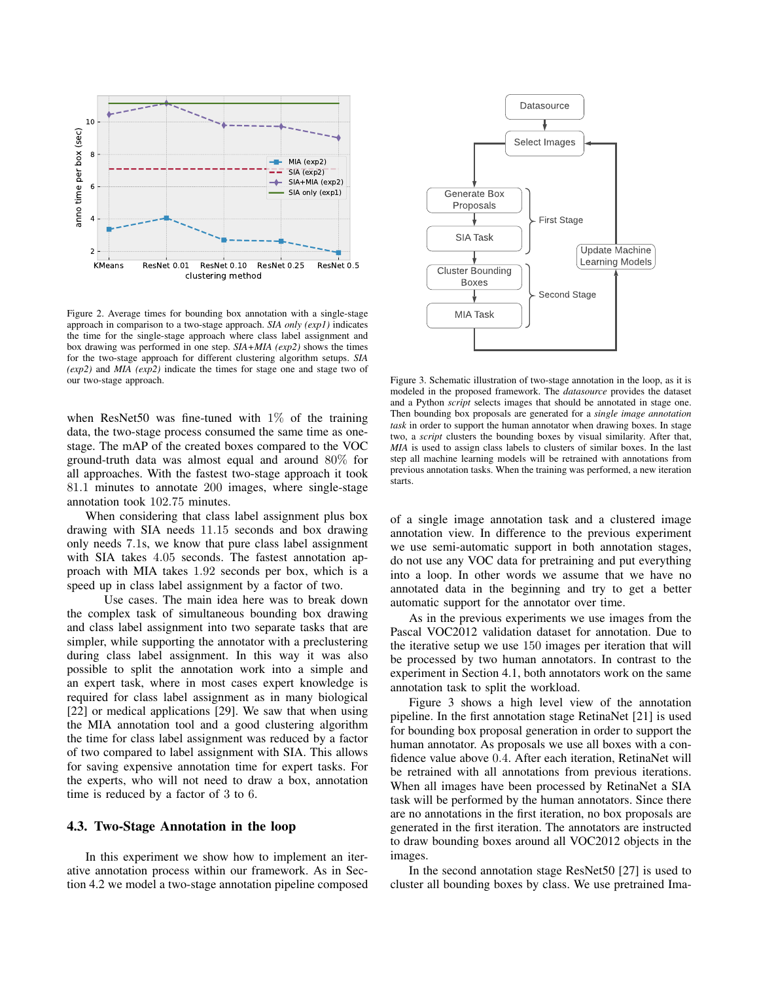

Figure 2. Average times for bounding box annotation with a single-stage approach in comparison to a two-stage approach. *SIA only (exp1)* indicates the time for the single-stage approach where class label assignment and box drawing was performed in one step. *SIA+MIA (exp2)* shows the times for the two-stage approach for different clustering algorithm setups. *SIA (exp2)* and *MIA (exp2)* indicate the times for stage one and stage two of our two-stage approach.

when ResNet50 was fine-tuned with  $1\%$  of the training data, the two-stage process consumed the same time as onestage. The mAP of the created boxes compared to the VOC ground-truth data was almost equal and around 80% for all approaches. With the fastest two-stage approach it took 81.1 minutes to annotate 200 images, where single-stage annotation took 102.75 minutes.

When considering that class label assignment plus box drawing with SIA needs 11.15 seconds and box drawing only needs 7.1s, we know that pure class label assignment with SIA takes 4.05 seconds. The fastest annotation approach with MIA takes 1.92 seconds per box, which is a speed up in class label assignment by a factor of two.

Use cases. The main idea here was to break down the complex task of simultaneous bounding box drawing and class label assignment into two separate tasks that are simpler, while supporting the annotator with a preclustering during class label assignment. In this way it was also possible to split the annotation work into a simple and an expert task, where in most cases expert knowledge is required for class label assignment as in many biological [22] or medical applications [29]. We saw that when using the MIA annotation tool and a good clustering algorithm the time for class label assignment was reduced by a factor of two compared to label assignment with SIA. This allows for saving expensive annotation time for expert tasks. For the experts, who will not need to draw a box, annotation time is reduced by a factor of 3 to 6.

### 4.3. Two-Stage Annotation in the loop

In this experiment we show how to implement an iterative annotation process within our framework. As in Section 4.2 we model a two-stage annotation pipeline composed



Figure 3. Schematic illustration of two-stage annotation in the loop, as it is modeled in the proposed framework. The *datasource* provides the dataset and a Python *script* selects images that should be annotated in stage one. Then bounding box proposals are generated for a *single image annotation task* in order to support the human annotator when drawing boxes. In stage two, a *script* clusters the bounding boxes by visual similarity. After that, *MIA* is used to assign class labels to clusters of similar boxes. In the last step all machine learning models will be retrained with annotations from previous annotation tasks. When the training was performed, a new iteration starts.

of a single image annotation task and a clustered image annotation view. In difference to the previous experiment we use semi-automatic support in both annotation stages, do not use any VOC data for pretraining and put everything into a loop. In other words we assume that we have no annotated data in the beginning and try to get a better automatic support for the annotator over time.

As in the previous experiments we use images from the Pascal VOC2012 validation dataset for annotation. Due to the iterative setup we use 150 images per iteration that will be processed by two human annotators. In contrast to the experiment in Section 4.1, both annotators work on the same annotation task to split the workload.

Figure 3 shows a high level view of the annotation pipeline. In the first annotation stage RetinaNet [21] is used for bounding box proposal generation in order to support the human annotator. As proposals we use all boxes with a confidence value above 0.4. After each iteration, RetinaNet will be retrained with all annotations from previous iterations. When all images have been processed by RetinaNet a SIA task will be performed by the human annotators. Since there are no annotations in the first iteration, no box proposals are generated in the first iteration. The annotators are instructed to draw bounding boxes around all VOC2012 objects in the images.

In the second annotation stage ResNet50 [27] is used to cluster all bounding boxes by class. We use pretrained Ima-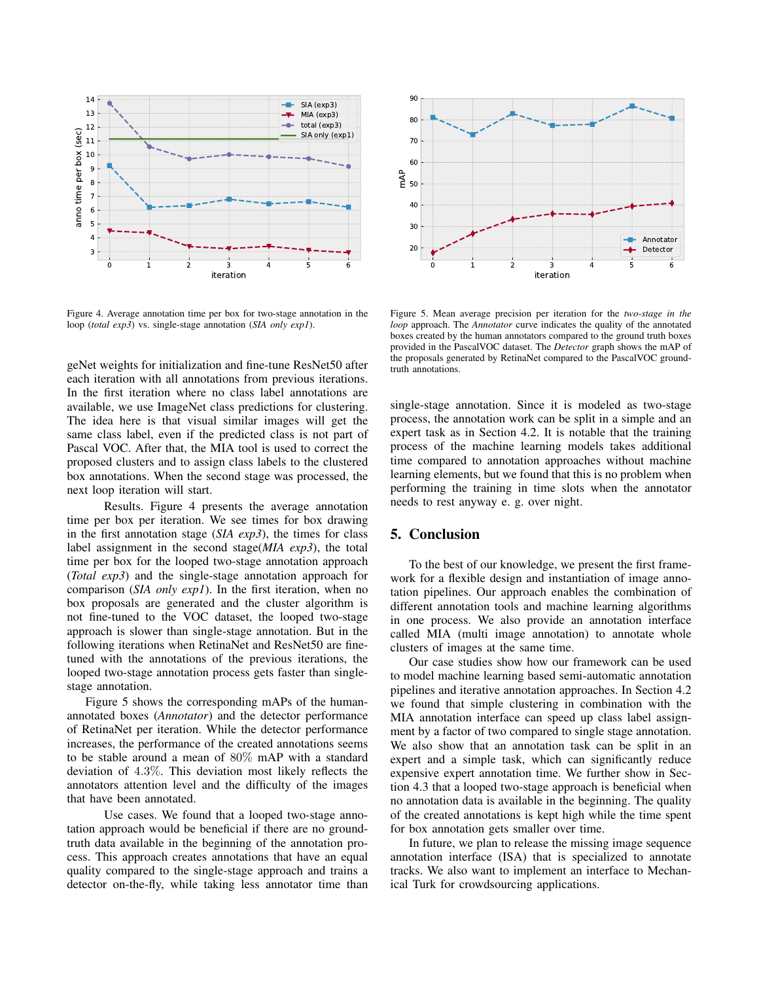

Figure 4. Average annotation time per box for two-stage annotation in the loop (*total exp3*) vs. single-stage annotation (*SIA only exp1*).

geNet weights for initialization and fine-tune ResNet50 after each iteration with all annotations from previous iterations. In the first iteration where no class label annotations are available, we use ImageNet class predictions for clustering. The idea here is that visual similar images will get the same class label, even if the predicted class is not part of Pascal VOC. After that, the MIA tool is used to correct the proposed clusters and to assign class labels to the clustered box annotations. When the second stage was processed, the next loop iteration will start.

Results. Figure 4 presents the average annotation time per box per iteration. We see times for box drawing in the first annotation stage (*SIA exp3*), the times for class label assignment in the second stage(*MIA exp3*), the total time per box for the looped two-stage annotation approach (*Total exp3*) and the single-stage annotation approach for comparison (*SIA only exp1*). In the first iteration, when no box proposals are generated and the cluster algorithm is not fine-tuned to the VOC dataset, the looped two-stage approach is slower than single-stage annotation. But in the following iterations when RetinaNet and ResNet50 are finetuned with the annotations of the previous iterations, the looped two-stage annotation process gets faster than singlestage annotation.

Figure 5 shows the corresponding mAPs of the humanannotated boxes (*Annotator*) and the detector performance of RetinaNet per iteration. While the detector performance increases, the performance of the created annotations seems to be stable around a mean of 80% mAP with a standard deviation of 4.3%. This deviation most likely reflects the annotators attention level and the difficulty of the images that have been annotated.

Use cases. We found that a looped two-stage annotation approach would be beneficial if there are no groundtruth data available in the beginning of the annotation process. This approach creates annotations that have an equal quality compared to the single-stage approach and trains a detector on-the-fly, while taking less annotator time than



Figure 5. Mean average precision per iteration for the *two-stage in the loop* approach. The *Annotator* curve indicates the quality of the annotated boxes created by the human annotators compared to the ground truth boxes provided in the PascalVOC dataset. The *Detector* graph shows the mAP of the proposals generated by RetinaNet compared to the PascalVOC groundtruth annotations.

single-stage annotation. Since it is modeled as two-stage process, the annotation work can be split in a simple and an expert task as in Section 4.2. It is notable that the training process of the machine learning models takes additional time compared to annotation approaches without machine learning elements, but we found that this is no problem when performing the training in time slots when the annotator needs to rest anyway e. g. over night.

## 5. Conclusion

To the best of our knowledge, we present the first framework for a flexible design and instantiation of image annotation pipelines. Our approach enables the combination of different annotation tools and machine learning algorithms in one process. We also provide an annotation interface called MIA (multi image annotation) to annotate whole clusters of images at the same time.

Our case studies show how our framework can be used to model machine learning based semi-automatic annotation pipelines and iterative annotation approaches. In Section 4.2 we found that simple clustering in combination with the MIA annotation interface can speed up class label assignment by a factor of two compared to single stage annotation. We also show that an annotation task can be split in an expert and a simple task, which can significantly reduce expensive expert annotation time. We further show in Section 4.3 that a looped two-stage approach is beneficial when no annotation data is available in the beginning. The quality of the created annotations is kept high while the time spent for box annotation gets smaller over time.

In future, we plan to release the missing image sequence annotation interface (ISA) that is specialized to annotate tracks. We also want to implement an interface to Mechanical Turk for crowdsourcing applications.